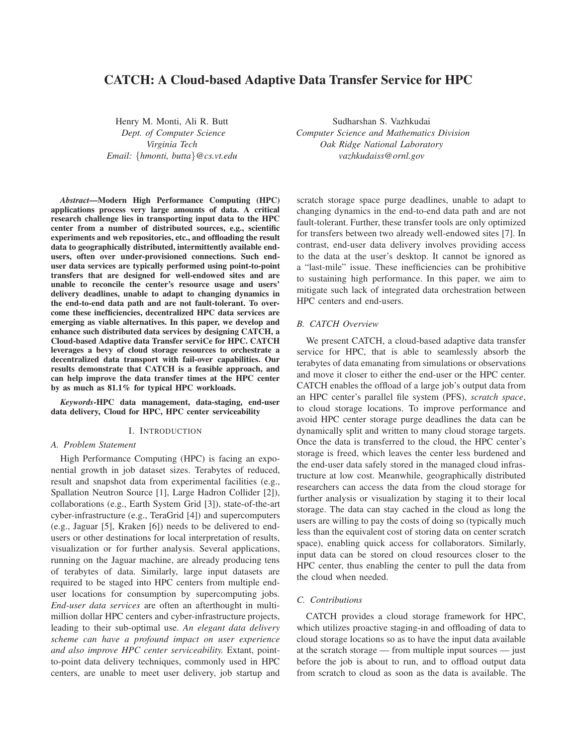# **CATCH: A Cloud-based Adaptive Data Transfer Service for HPC**

Henry M. Monti, Ali R. Butt *Dept. of Computer Science Virginia Tech Email:* {*hmonti, butta*}*@cs.vt.edu*

*Abstract***—Modern High Performance Computing (HPC) applications process very large amounts of data. A critical research challenge lies in transporting input data to the HPC center from a number of distributed sources, e.g., scientific experiments and web repositories, etc., and offloading the result data to geographically distributed, intermittently available endusers, often over under-provisioned connections. Such enduser data services are typically performed using point-to-point transfers that are designed for well-endowed sites and are unable to reconcile the center's resource usage and users' delivery deadlines, unable to adapt to changing dynamics in the end-to-end data path and are not fault-tolerant. To overcome these inefficiencies, decentralized HPC data services are emerging as viable alternatives. In this paper, we develop and enhance such distributed data services by designing CATCH, a Cloud-based Adaptive data Transfer serviCe for HPC. CATCH leverages a bevy of cloud storage resources to orchestrate a decentralized data transport with fail-over capabilities. Our results demonstrate that CATCH is a feasible approach, and can help improve the data transfer times at the HPC center by as much as 81.1% for typical HPC workloads.**

*Keywords***-HPC data management, data-staging, end-user data delivery, Cloud for HPC, HPC center serviceability**

# I. INTRODUCTION

# *A. Problem Statement*

High Performance Computing (HPC) is facing an exponential growth in job dataset sizes. Terabytes of reduced, result and snapshot data from experimental facilities (e.g., Spallation Neutron Source [1], Large Hadron Collider [2]), collaborations (e.g., Earth System Grid [3]), state-of-the-art cyber-infrastructure (e.g., TeraGrid [4]) and supercomputers (e.g., Jaguar [5], Kraken [6]) needs to be delivered to endusers or other destinations for local interpretation of results, visualization or for further analysis. Several applications, running on the Jaguar machine, are already producing tens of terabytes of data. Similarly, large input datasets are required to be staged into HPC centers from multiple enduser locations for consumption by supercomputing jobs. *End-user data services* are often an afterthought in multimillion dollar HPC centers and cyber-infrastructure projects, leading to their sub-optimal use. *An elegant data delivery scheme can have a profound impact on user experience and also improve HPC center serviceability.* Extant, pointto-point data delivery techniques, commonly used in HPC centers, are unable to meet user delivery, job startup and

Sudharshan S. Vazhkudai *Computer Science and Mathematics Division Oak Ridge National Laboratory vazhkudaiss@ornl.gov*

scratch storage space purge deadlines, unable to adapt to changing dynamics in the end-to-end data path and are not fault-tolerant. Further, these transfer tools are only optimized for transfers between two already well-endowed sites [7]. In contrast, end-user data delivery involves providing access to the data at the user's desktop. It cannot be ignored as a "last-mile" issue. These inefficiencies can be prohibitive to sustaining high performance. In this paper, we aim to mitigate such lack of integrated data orchestration between HPC centers and end-users.

### *B. CATCH Overview*

We present CATCH, a cloud-based adaptive data transfer service for HPC, that is able to seamlessly absorb the terabytes of data emanating from simulations or observations and move it closer to either the end-user or the HPC center. CATCH enables the offload of a large job's output data from an HPC center's parallel file system (PFS), *scratch space*, to cloud storage locations. To improve performance and avoid HPC center storage purge deadlines the data can be dynamically split and written to many cloud storage targets. Once the data is transferred to the cloud, the HPC center's storage is freed, which leaves the center less burdened and the end-user data safely stored in the managed cloud infrastructure at low cost. Meanwhile, geographically distributed researchers can access the data from the cloud storage for further analysis or visualization by staging it to their local storage. The data can stay cached in the cloud as long the users are willing to pay the costs of doing so (typically much less than the equivalent cost of storing data on center scratch space), enabling quick access for collaborators. Similarly, input data can be stored on cloud resources closer to the HPC center, thus enabling the center to pull the data from the cloud when needed.

# *C. Contributions*

CATCH provides a cloud storage framework for HPC, which utilizes proactive staging-in and offloading of data to cloud storage locations so as to have the input data available at the scratch storage — from multiple input sources — just before the job is about to run, and to offload output data from scratch to cloud as soon as the data is available. The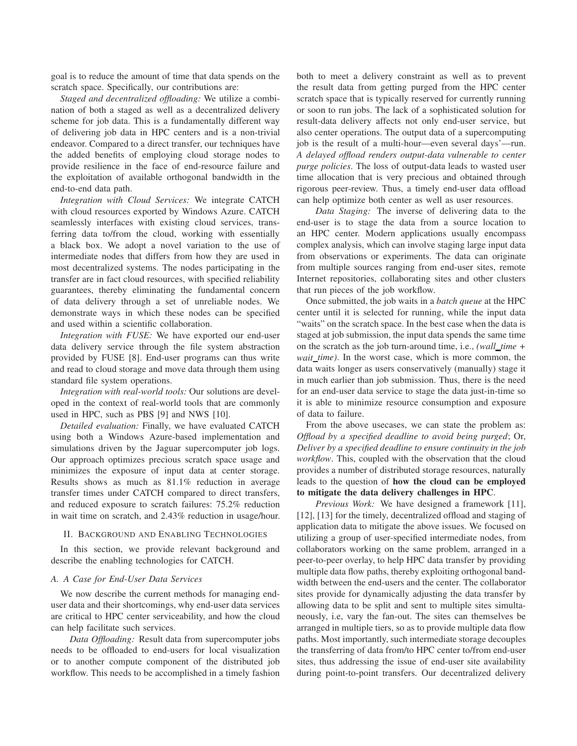goal is to reduce the amount of time that data spends on the scratch space. Specifically, our contributions are:

*Staged and decentralized offloading:* We utilize a combination of both a staged as well as a decentralized delivery scheme for job data. This is a fundamentally different way of delivering job data in HPC centers and is a non-trivial endeavor. Compared to a direct transfer, our techniques have the added benefits of employing cloud storage nodes to provide resilience in the face of end-resource failure and the exploitation of available orthogonal bandwidth in the end-to-end data path.

*Integration with Cloud Services:* We integrate CATCH with cloud resources exported by Windows Azure. CATCH seamlessly interfaces with existing cloud services, transferring data to/from the cloud, working with essentially a black box. We adopt a novel variation to the use of intermediate nodes that differs from how they are used in most decentralized systems. The nodes participating in the transfer are in fact cloud resources, with specified reliability guarantees, thereby eliminating the fundamental concern of data delivery through a set of unreliable nodes. We demonstrate ways in which these nodes can be specified and used within a scientific collaboration.

*Integration with FUSE:* We have exported our end-user data delivery service through the file system abstraction provided by FUSE [8]. End-user programs can thus write and read to cloud storage and move data through them using standard file system operations.

*Integration with real-world tools:* Our solutions are developed in the context of real-world tools that are commonly used in HPC, such as PBS [9] and NWS [10].

*Detailed evaluation:* Finally, we have evaluated CATCH using both a Windows Azure-based implementation and simulations driven by the Jaguar supercomputer job logs. Our approach optimizes precious scratch space usage and minimizes the exposure of input data at center storage. Results shows as much as 81.1% reduction in average transfer times under CATCH compared to direct transfers, and reduced exposure to scratch failures: 75.2% reduction in wait time on scratch, and 2.43% reduction in usage/hour.

# II. BACKGROUND AND ENABLING TECHNOLOGIES

In this section, we provide relevant background and describe the enabling technologies for CATCH.

## *A. A Case for End-User Data Services*

We now describe the current methods for managing enduser data and their shortcomings, why end-user data services are critical to HPC center serviceability, and how the cloud can help facilitate such services.

*Data Offloading:* Result data from supercomputer jobs needs to be offloaded to end-users for local visualization or to another compute component of the distributed job workflow. This needs to be accomplished in a timely fashion both to meet a delivery constraint as well as to prevent the result data from getting purged from the HPC center scratch space that is typically reserved for currently running or soon to run jobs. The lack of a sophisticated solution for result-data delivery affects not only end-user service, but also center operations. The output data of a supercomputing job is the result of a multi-hour—even several days'—run. *A delayed offload renders output-data vulnerable to center purge policies*. The loss of output-data leads to wasted user time allocation that is very precious and obtained through rigorous peer-review. Thus, a timely end-user data offload can help optimize both center as well as user resources.

*Data Staging:* The inverse of delivering data to the end-user is to stage the data from a source location to an HPC center. Modern applications usually encompass complex analysis, which can involve staging large input data from observations or experiments. The data can originate from multiple sources ranging from end-user sites, remote Internet repositories, collaborating sites and other clusters that run pieces of the job workflow.

Once submitted, the job waits in a *batch queue* at the HPC center until it is selected for running, while the input data "waits" on the scratch space. In the best case when the data is staged at job submission, the input data spends the same time on the scratch as the job turn-around time, i.e., *(wall time + wait\_time*). In the worst case, which is more common, the data waits longer as users conservatively (manually) stage it in much earlier than job submission. Thus, there is the need for an end-user data service to stage the data just-in-time so it is able to minimize resource consumption and exposure of data to failure.

From the above usecases, we can state the problem as: *Offload by a specified deadline to avoid being purged*; Or, *Deliver by a specified deadline to ensure continuity in the job workflow*. This, coupled with the observation that the cloud provides a number of distributed storage resources, naturally leads to the question of **how the cloud can be employed to mitigate the data delivery challenges in HPC**.

*Previous Work:* We have designed a framework [11], [12], [13] for the timely, decentralized offload and staging of application data to mitigate the above issues. We focused on utilizing a group of user-specified intermediate nodes, from collaborators working on the same problem, arranged in a peer-to-peer overlay, to help HPC data transfer by providing multiple data flow paths, thereby exploiting orthogonal bandwidth between the end-users and the center. The collaborator sites provide for dynamically adjusting the data transfer by allowing data to be split and sent to multiple sites simultaneously, i.e, vary the fan-out. The sites can themselves be arranged in multiple tiers, so as to provide multiple data flow paths. Most importantly, such intermediate storage decouples the transferring of data from/to HPC center to/from end-user sites, thus addressing the issue of end-user site availability during point-to-point transfers. Our decentralized delivery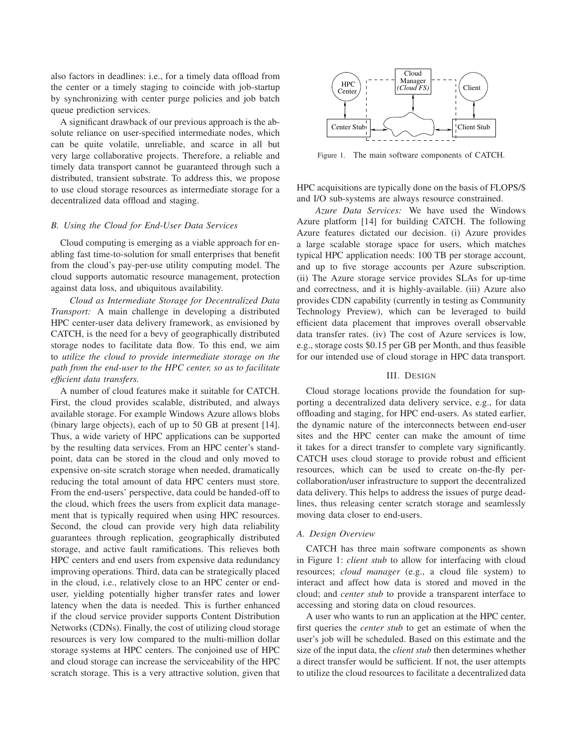also factors in deadlines: i.e., for a timely data offload from the center or a timely staging to coincide with job-startup by synchronizing with center purge policies and job batch queue prediction services.

A significant drawback of our previous approach is the absolute reliance on user-specified intermediate nodes, which can be quite volatile, unreliable, and scarce in all but very large collaborative projects. Therefore, a reliable and timely data transport cannot be guaranteed through such a distributed, transient substrate. To address this, we propose to use cloud storage resources as intermediate storage for a decentralized data offload and staging.

### *B. Using the Cloud for End-User Data Services*

Cloud computing is emerging as a viable approach for enabling fast time-to-solution for small enterprises that benefit from the cloud's pay-per-use utility computing model. The cloud supports automatic resource management, protection against data loss, and ubiquitous availability.

*Cloud as Intermediate Storage for Decentralized Data Transport:* A main challenge in developing a distributed HPC center-user data delivery framework, as envisioned by CATCH, is the need for a bevy of geographically distributed storage nodes to facilitate data flow. To this end, we aim to *utilize the cloud to provide intermediate storage on the path from the end-user to the HPC center, so as to facilitate efficient data transfers.*

A number of cloud features make it suitable for CATCH. First, the cloud provides scalable, distributed, and always available storage. For example Windows Azure allows blobs (binary large objects), each of up to 50 GB at present [14]. Thus, a wide variety of HPC applications can be supported by the resulting data services. From an HPC center's standpoint, data can be stored in the cloud and only moved to expensive on-site scratch storage when needed, dramatically reducing the total amount of data HPC centers must store. From the end-users' perspective, data could be handed-off to the cloud, which frees the users from explicit data management that is typically required when using HPC resources. Second, the cloud can provide very high data reliability guarantees through replication, geographically distributed storage, and active fault ramifications. This relieves both HPC centers and end users from expensive data redundancy improving operations. Third, data can be strategically placed in the cloud, i.e., relatively close to an HPC center or enduser, yielding potentially higher transfer rates and lower latency when the data is needed. This is further enhanced if the cloud service provider supports Content Distribution Networks (CDNs). Finally, the cost of utilizing cloud storage resources is very low compared to the multi-million dollar storage systems at HPC centers. The conjoined use of HPC and cloud storage can increase the serviceability of the HPC scratch storage. This is a very attractive solution, given that



Figure 1. The main software components of CATCH.

HPC acquisitions are typically done on the basis of FLOPS/\$ and I/O sub-systems are always resource constrained.

*Azure Data Services:* We have used the Windows Azure platform [14] for building CATCH. The following Azure features dictated our decision. (i) Azure provides a large scalable storage space for users, which matches typical HPC application needs: 100 TB per storage account, and up to five storage accounts per Azure subscription. (ii) The Azure storage service provides SLAs for up-time and correctness, and it is highly-available. (iii) Azure also provides CDN capability (currently in testing as Community Technology Preview), which can be leveraged to build efficient data placement that improves overall observable data transfer rates. (iv) The cost of Azure services is low, e.g., storage costs \$0.15 per GB per Month, and thus feasible for our intended use of cloud storage in HPC data transport.

# III. DESIGN

Cloud storage locations provide the foundation for supporting a decentralized data delivery service, e.g., for data offloading and staging, for HPC end-users. As stated earlier, the dynamic nature of the interconnects between end-user sites and the HPC center can make the amount of time it takes for a direct transfer to complete vary significantly. CATCH uses cloud storage to provide robust and efficient resources, which can be used to create on-the-fly percollaboration/user infrastructure to support the decentralized data delivery. This helps to address the issues of purge deadlines, thus releasing center scratch storage and seamlessly moving data closer to end-users.

### *A. Design Overview*

CATCH has three main software components as shown in Figure 1: *client stub* to allow for interfacing with cloud resources; *cloud manager* (e.g., a cloud file system) to interact and affect how data is stored and moved in the cloud; and *center stub* to provide a transparent interface to accessing and storing data on cloud resources.

A user who wants to run an application at the HPC center, first queries the *center stub* to get an estimate of when the user's job will be scheduled. Based on this estimate and the size of the input data, the *client stub* then determines whether a direct transfer would be sufficient. If not, the user attempts to utilize the cloud resources to facilitate a decentralized data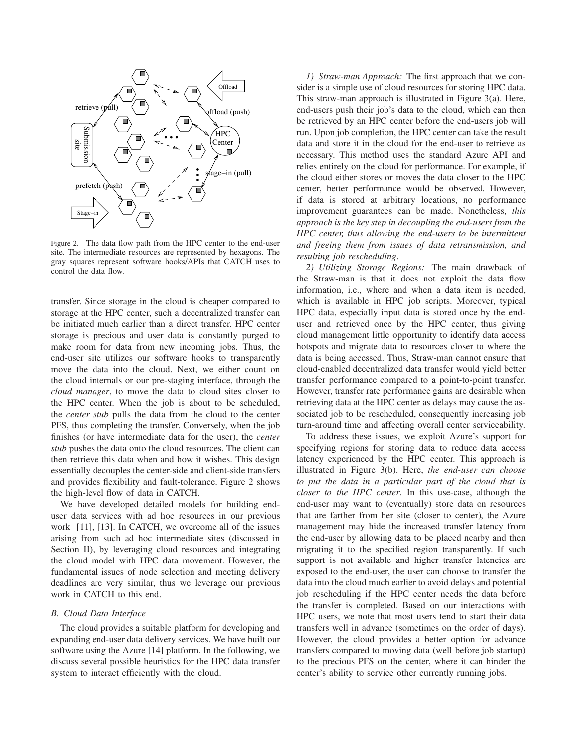

Figure 2. The data flow path from the HPC center to the end-user site. The intermediate resources are represented by hexagons. The gray squares represent software hooks/APIs that CATCH uses to control the data flow.

transfer. Since storage in the cloud is cheaper compared to storage at the HPC center, such a decentralized transfer can be initiated much earlier than a direct transfer. HPC center storage is precious and user data is constantly purged to make room for data from new incoming jobs. Thus, the end-user site utilizes our software hooks to transparently move the data into the cloud. Next, we either count on the cloud internals or our pre-staging interface, through the *cloud manager*, to move the data to cloud sites closer to the HPC center. When the job is about to be scheduled, the *center stub* pulls the data from the cloud to the center PFS, thus completing the transfer. Conversely, when the job finishes (or have intermediate data for the user), the *center stub* pushes the data onto the cloud resources. The client can then retrieve this data when and how it wishes. This design essentially decouples the center-side and client-side transfers and provides flexibility and fault-tolerance. Figure 2 shows the high-level flow of data in CATCH.

We have developed detailed models for building enduser data services with ad hoc resources in our previous work [11], [13]. In CATCH, we overcome all of the issues arising from such ad hoc intermediate sites (discussed in Section II), by leveraging cloud resources and integrating the cloud model with HPC data movement. However, the fundamental issues of node selection and meeting delivery deadlines are very similar, thus we leverage our previous work in CATCH to this end.

### *B. Cloud Data Interface*

The cloud provides a suitable platform for developing and expanding end-user data delivery services. We have built our software using the Azure [14] platform. In the following, we discuss several possible heuristics for the HPC data transfer system to interact efficiently with the cloud.

*1) Straw-man Approach:* The first approach that we consider is a simple use of cloud resources for storing HPC data. This straw-man approach is illustrated in Figure 3(a). Here, end-users push their job's data to the cloud, which can then be retrieved by an HPC center before the end-users job will run. Upon job completion, the HPC center can take the result data and store it in the cloud for the end-user to retrieve as necessary. This method uses the standard Azure API and relies entirely on the cloud for performance. For example, if the cloud either stores or moves the data closer to the HPC center, better performance would be observed. However, if data is stored at arbitrary locations, no performance improvement guarantees can be made. Nonetheless, *this approach is the key step in decoupling the end-users from the HPC center, thus allowing the end-users to be intermittent and freeing them from issues of data retransmission, and resulting job rescheduling*.

*2) Utilizing Storage Regions:* The main drawback of the Straw-man is that it does not exploit the data flow information, i.e., where and when a data item is needed, which is available in HPC job scripts. Moreover, typical HPC data, especially input data is stored once by the enduser and retrieved once by the HPC center, thus giving cloud management little opportunity to identify data access hotspots and migrate data to resources closer to where the data is being accessed. Thus, Straw-man cannot ensure that cloud-enabled decentralized data transfer would yield better transfer performance compared to a point-to-point transfer. However, transfer rate performance gains are desirable when retrieving data at the HPC center as delays may cause the associated job to be rescheduled, consequently increasing job turn-around time and affecting overall center serviceability.

To address these issues, we exploit Azure's support for specifying regions for storing data to reduce data access latency experienced by the HPC center. This approach is illustrated in Figure 3(b). Here, *the end-user can choose to put the data in a particular part of the cloud that is closer to the HPC center*. In this use-case, although the end-user may want to (eventually) store data on resources that are farther from her site (closer to center), the Azure management may hide the increased transfer latency from the end-user by allowing data to be placed nearby and then migrating it to the specified region transparently. If such support is not available and higher transfer latencies are exposed to the end-user, the user can choose to transfer the data into the cloud much earlier to avoid delays and potential job rescheduling if the HPC center needs the data before the transfer is completed. Based on our interactions with HPC users, we note that most users tend to start their data transfers well in advance (sometimes on the order of days). However, the cloud provides a better option for advance transfers compared to moving data (well before job startup) to the precious PFS on the center, where it can hinder the center's ability to service other currently running jobs.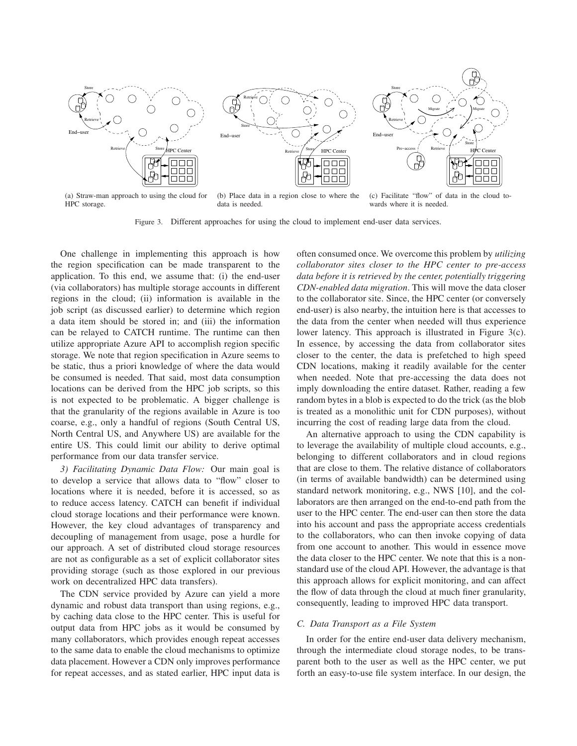

(a) Straw-man approach to using the cloud for HPC storage.

(b) Place data in a region close to where the data is needed.

(c) Facilitate "flow" of data in the cloud towards where it is needed.

Figure 3. Different approaches for using the cloud to implement end-user data services.

One challenge in implementing this approach is how the region specification can be made transparent to the application. To this end, we assume that: (i) the end-user (via collaborators) has multiple storage accounts in different regions in the cloud; (ii) information is available in the job script (as discussed earlier) to determine which region a data item should be stored in; and (iii) the information can be relayed to CATCH runtime. The runtime can then utilize appropriate Azure API to accomplish region specific storage. We note that region specification in Azure seems to be static, thus a priori knowledge of where the data would be consumed is needed. That said, most data consumption locations can be derived from the HPC job scripts, so this is not expected to be problematic. A bigger challenge is that the granularity of the regions available in Azure is too coarse, e.g., only a handful of regions (South Central US, North Central US, and Anywhere US) are available for the entire US. This could limit our ability to derive optimal performance from our data transfer service.

*3) Facilitating Dynamic Data Flow:* Our main goal is to develop a service that allows data to "flow" closer to locations where it is needed, before it is accessed, so as to reduce access latency. CATCH can benefit if individual cloud storage locations and their performance were known. However, the key cloud advantages of transparency and decoupling of management from usage, pose a hurdle for our approach. A set of distributed cloud storage resources are not as configurable as a set of explicit collaborator sites providing storage (such as those explored in our previous work on decentralized HPC data transfers).

The CDN service provided by Azure can yield a more dynamic and robust data transport than using regions, e.g., by caching data close to the HPC center. This is useful for output data from HPC jobs as it would be consumed by many collaborators, which provides enough repeat accesses to the same data to enable the cloud mechanisms to optimize data placement. However a CDN only improves performance for repeat accesses, and as stated earlier, HPC input data is often consumed once. We overcome this problem by *utilizing collaborator sites closer to the HPC center to pre-access data before it is retrieved by the center, potentially triggering CDN-enabled data migration*. This will move the data closer to the collaborator site. Since, the HPC center (or conversely end-user) is also nearby, the intuition here is that accesses to the data from the center when needed will thus experience lower latency. This approach is illustrated in Figure 3(c). In essence, by accessing the data from collaborator sites closer to the center, the data is prefetched to high speed CDN locations, making it readily available for the center when needed. Note that pre-accessing the data does not imply downloading the entire dataset. Rather, reading a few random bytes in a blob is expected to do the trick (as the blob is treated as a monolithic unit for CDN purposes), without incurring the cost of reading large data from the cloud.

An alternative approach to using the CDN capability is to leverage the availability of multiple cloud accounts, e.g., belonging to different collaborators and in cloud regions that are close to them. The relative distance of collaborators (in terms of available bandwidth) can be determined using standard network monitoring, e.g., NWS [10], and the collaborators are then arranged on the end-to-end path from the user to the HPC center. The end-user can then store the data into his account and pass the appropriate access credentials to the collaborators, who can then invoke copying of data from one account to another. This would in essence move the data closer to the HPC center. We note that this is a nonstandard use of the cloud API. However, the advantage is that this approach allows for explicit monitoring, and can affect the flow of data through the cloud at much finer granularity, consequently, leading to improved HPC data transport.

### *C. Data Transport as a File System*

In order for the entire end-user data delivery mechanism, through the intermediate cloud storage nodes, to be transparent both to the user as well as the HPC center, we put forth an easy-to-use file system interface. In our design, the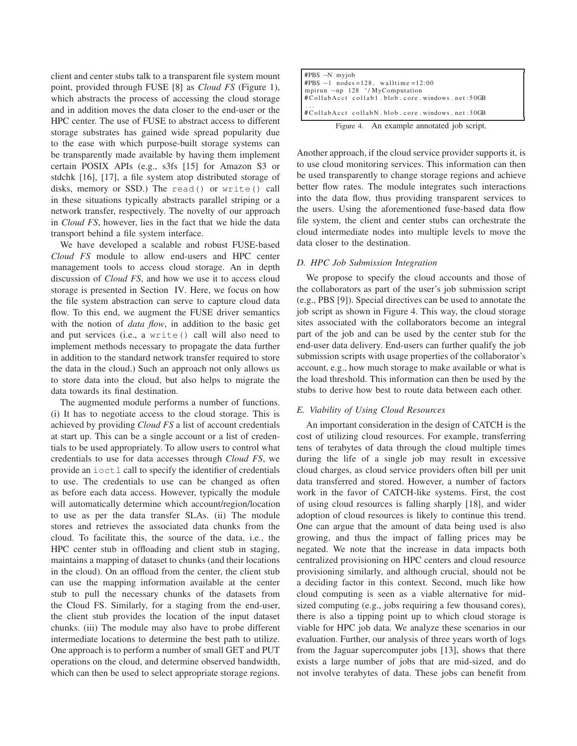client and center stubs talk to a transparent file system mount point, provided through FUSE [8] as *Cloud FS* (Figure 1), which abstracts the process of accessing the cloud storage and in addition moves the data closer to the end-user or the HPC center. The use of FUSE to abstract access to different storage substrates has gained wide spread popularity due to the ease with which purpose-built storage systems can be transparently made available by having them implement certain POSIX APIs (e.g., s3fs [15] for Amazon S3 or stdchk [16], [17], a file system atop distributed storage of disks, memory or SSD.) The read() or write() call in these situations typically abstracts parallel striping or a network transfer, respectively. The novelty of our approach in *Cloud FS*, however, lies in the fact that we hide the data transport behind a file system interface.

We have developed a scalable and robust FUSE-based *Cloud FS* module to allow end-users and HPC center management tools to access cloud storage. An in depth discussion of *Cloud FS*, and how we use it to access cloud storage is presented in Section IV. Here, we focus on how the file system abstraction can serve to capture cloud data flow. To this end, we augment the FUSE driver semantics with the notion of *data flow*, in addition to the basic get and put services (i.e., a write() call will also need to implement methods necessary to propagate the data further in addition to the standard network transfer required to store the data in the cloud.) Such an approach not only allows us to store data into the cloud, but also helps to migrate the data towards its final destination.

The augmented module performs a number of functions. (i) It has to negotiate access to the cloud storage. This is achieved by providing *Cloud FS* a list of account credentials at start up. This can be a single account or a list of credentials to be used appropriately. To allow users to control what credentials to use for data accesses through *Cloud FS*, we provide an ioctl call to specify the identifier of credentials to use. The credentials to use can be changed as often as before each data access. However, typically the module will automatically determine which account/region/location to use as per the data transfer SLAs. (ii) The module stores and retrieves the associated data chunks from the cloud. To facilitate this, the source of the data, i.e., the HPC center stub in offloading and client stub in staging, maintains a mapping of dataset to chunks (and their locations in the cloud). On an offload from the center, the client stub can use the mapping information available at the center stub to pull the necessary chunks of the datasets from the Cloud FS. Similarly, for a staging from the end-user, the client stub provides the location of the input dataset chunks. (iii) The module may also have to probe different intermediate locations to determine the best path to utilize. One approach is to perform a number of small GET and PUT operations on the cloud, and determine observed bandwidth, which can then be used to select appropriate storage regions.

| $#PBS - N$ myjob<br>$\#PBS -1$ nodes=128, walltime=12:00                                     |
|----------------------------------------------------------------------------------------------|
| mpirun $-$ np 128 $\degree$ /MyComputation<br>#CollabAcct collab1.blob.core.windows.net:50GB |
| #CollabAcct collabN.blob.core.windows.net:30GB                                               |
| Figure 4. An example annotated job script.                                                   |

Another approach, if the cloud service provider supports it, is to use cloud monitoring services. This information can then be used transparently to change storage regions and achieve better flow rates. The module integrates such interactions into the data flow, thus providing transparent services to the users. Using the aforementioned fuse-based data flow file system, the client and center stubs can orchestrate the cloud intermediate nodes into multiple levels to move the data closer to the destination.

# *D. HPC Job Submission Integration*

We propose to specify the cloud accounts and those of the collaborators as part of the user's job submission script (e.g., PBS [9]). Special directives can be used to annotate the job script as shown in Figure 4. This way, the cloud storage sites associated with the collaborators become an integral part of the job and can be used by the center stub for the end-user data delivery. End-users can further qualify the job submission scripts with usage properties of the collaborator's account, e.g., how much storage to make available or what is the load threshold. This information can then be used by the stubs to derive how best to route data between each other.

# *E. Viability of Using Cloud Resources*

An important consideration in the design of CATCH is the cost of utilizing cloud resources. For example, transferring tens of terabytes of data through the cloud multiple times during the life of a single job may result in excessive cloud charges, as cloud service providers often bill per unit data transferred and stored. However, a number of factors work in the favor of CATCH-like systems. First, the cost of using cloud resources is falling sharply [18], and wider adoption of cloud resources is likely to continue this trend. One can argue that the amount of data being used is also growing, and thus the impact of falling prices may be negated. We note that the increase in data impacts both centralized provisioning on HPC centers and cloud resource provisioning similarly, and although crucial, should not be a deciding factor in this context. Second, much like how cloud computing is seen as a viable alternative for midsized computing (e.g., jobs requiring a few thousand cores), there is also a tipping point up to which cloud storage is viable for HPC job data. We analyze these scenarios in our evaluation. Further, our analysis of three years worth of logs from the Jaguar supercomputer jobs [13], shows that there exists a large number of jobs that are mid-sized, and do not involve terabytes of data. These jobs can benefit from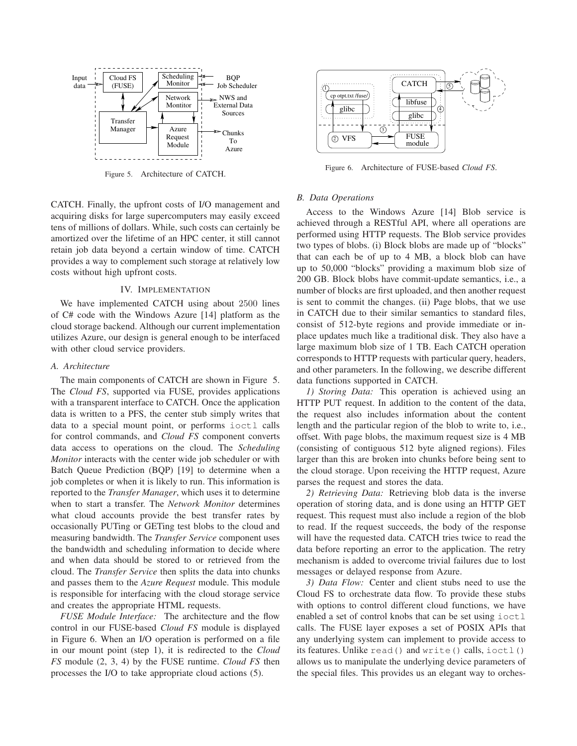

Figure 5. Architecture of CATCH.

CATCH. Finally, the upfront costs of I/O management and acquiring disks for large supercomputers may easily exceed tens of millions of dollars. While, such costs can certainly be amortized over the lifetime of an HPC center, it still cannot retain job data beyond a certain window of time. CATCH provides a way to complement such storage at relatively low costs without high upfront costs.

# IV. IMPLEMENTATION

We have implemented CATCH using about 2500 lines of C# code with the Windows Azure [14] platform as the cloud storage backend. Although our current implementation utilizes Azure, our design is general enough to be interfaced with other cloud service providers.

### *A. Architecture*

The main components of CATCH are shown in Figure 5. The *Cloud FS*, supported via FUSE, provides applications with a transparent interface to CATCH. Once the application data is written to a PFS, the center stub simply writes that data to a special mount point, or performs ioctl calls for control commands, and *Cloud FS* component converts data access to operations on the cloud. The *Scheduling Monitor* interacts with the center wide job scheduler or with Batch Queue Prediction (BQP) [19] to determine when a job completes or when it is likely to run. This information is reported to the *Transfer Manager*, which uses it to determine when to start a transfer. The *Network Monitor* determines what cloud accounts provide the best transfer rates by occasionally PUTing or GETing test blobs to the cloud and measuring bandwidth. The *Transfer Service* component uses the bandwidth and scheduling information to decide where and when data should be stored to or retrieved from the cloud. The *Transfer Service* then splits the data into chunks and passes them to the *Azure Request* module. This module is responsible for interfacing with the cloud storage service and creates the appropriate HTML requests.

*FUSE Module Interface:* The architecture and the flow control in our FUSE-based *Cloud FS* module is displayed in Figure 6. When an I/O operation is performed on a file in our mount point (step 1), it is redirected to the *Cloud FS* module (2, 3, 4) by the FUSE runtime. *Cloud FS* then processes the I/O to take appropriate cloud actions (5).



Figure 6. Architecture of FUSE-based *Cloud FS*.

### *B. Data Operations*

Access to the Windows Azure [14] Blob service is achieved through a RESTful API, where all operations are performed using HTTP requests. The Blob service provides two types of blobs. (i) Block blobs are made up of "blocks" that can each be of up to 4 MB, a block blob can have up to 50,000 "blocks" providing a maximum blob size of 200 GB. Block blobs have commit-update semantics, i.e., a number of blocks are first uploaded, and then another request is sent to commit the changes. (ii) Page blobs, that we use in CATCH due to their similar semantics to standard files, consist of 512-byte regions and provide immediate or inplace updates much like a traditional disk. They also have a large maximum blob size of 1 TB. Each CATCH operation corresponds to HTTP requests with particular query, headers, and other parameters. In the following, we describe different data functions supported in CATCH.

*1) Storing Data:* This operation is achieved using an HTTP PUT request. In addition to the content of the data, the request also includes information about the content length and the particular region of the blob to write to, i.e., offset. With page blobs, the maximum request size is 4 MB (consisting of contiguous 512 byte aligned regions). Files larger than this are broken into chunks before being sent to the cloud storage. Upon receiving the HTTP request, Azure parses the request and stores the data.

*2) Retrieving Data:* Retrieving blob data is the inverse operation of storing data, and is done using an HTTP GET request. This request must also include a region of the blob to read. If the request succeeds, the body of the response will have the requested data. CATCH tries twice to read the data before reporting an error to the application. The retry mechanism is added to overcome trivial failures due to lost messages or delayed response from Azure.

*3) Data Flow:* Center and client stubs need to use the Cloud FS to orchestrate data flow. To provide these stubs with options to control different cloud functions, we have enabled a set of control knobs that can be set using ioctl calls. The FUSE layer exposes a set of POSIX APIs that any underlying system can implement to provide access to its features. Unlike read() and write() calls, ioctl() allows us to manipulate the underlying device parameters of the special files. This provides us an elegant way to orches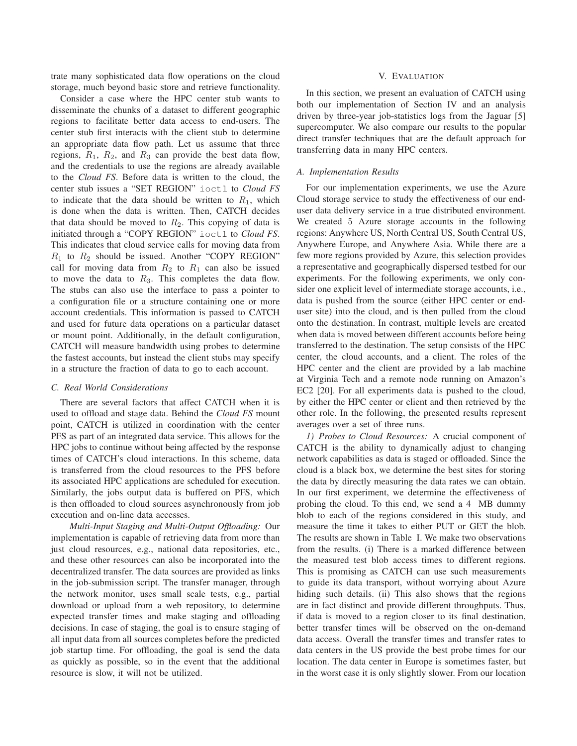trate many sophisticated data flow operations on the cloud storage, much beyond basic store and retrieve functionality.

Consider a case where the HPC center stub wants to disseminate the chunks of a dataset to different geographic regions to facilitate better data access to end-users. The center stub first interacts with the client stub to determine an appropriate data flow path. Let us assume that three regions,  $R_1$ ,  $R_2$ , and  $R_3$  can provide the best data flow, and the credentials to use the regions are already available to the *Cloud FS*. Before data is written to the cloud, the center stub issues a "SET REGION" ioctl to *Cloud FS* to indicate that the data should be written to  $R_1$ , which is done when the data is written. Then, CATCH decides that data should be moved to  $R_2$ . This copying of data is initiated through a "COPY REGION" ioctl to *Cloud FS*. This indicates that cloud service calls for moving data from  $R_1$  to  $R_2$  should be issued. Another "COPY REGION" call for moving data from  $R_2$  to  $R_1$  can also be issued to move the data to  $R_3$ . This completes the data flow. The stubs can also use the interface to pass a pointer to a configuration file or a structure containing one or more account credentials. This information is passed to CATCH and used for future data operations on a particular dataset or mount point. Additionally, in the default configuration, CATCH will measure bandwidth using probes to determine the fastest accounts, but instead the client stubs may specify in a structure the fraction of data to go to each account.

# *C. Real World Considerations*

There are several factors that affect CATCH when it is used to offload and stage data. Behind the *Cloud FS* mount point, CATCH is utilized in coordination with the center PFS as part of an integrated data service. This allows for the HPC jobs to continue without being affected by the response times of CATCH's cloud interactions. In this scheme, data is transferred from the cloud resources to the PFS before its associated HPC applications are scheduled for execution. Similarly, the jobs output data is buffered on PFS, which is then offloaded to cloud sources asynchronously from job execution and on-line data accesses.

*Multi-Input Staging and Multi-Output Offloading:* Our implementation is capable of retrieving data from more than just cloud resources, e.g., national data repositories, etc., and these other resources can also be incorporated into the decentralized transfer. The data sources are provided as links in the job-submission script. The transfer manager, through the network monitor, uses small scale tests, e.g., partial download or upload from a web repository, to determine expected transfer times and make staging and offloading decisions. In case of staging, the goal is to ensure staging of all input data from all sources completes before the predicted job startup time. For offloading, the goal is send the data as quickly as possible, so in the event that the additional resource is slow, it will not be utilized.

# V. EVALUATION

In this section, we present an evaluation of CATCH using both our implementation of Section IV and an analysis driven by three-year job-statistics logs from the Jaguar [5] supercomputer. We also compare our results to the popular direct transfer techniques that are the default approach for transferring data in many HPC centers.

# *A. Implementation Results*

For our implementation experiments, we use the Azure Cloud storage service to study the effectiveness of our enduser data delivery service in a true distributed environment. We created 5 Azure storage accounts in the following regions: Anywhere US, North Central US, South Central US, Anywhere Europe, and Anywhere Asia. While there are a few more regions provided by Azure, this selection provides a representative and geographically dispersed testbed for our experiments. For the following experiments, we only consider one explicit level of intermediate storage accounts, i.e., data is pushed from the source (either HPC center or enduser site) into the cloud, and is then pulled from the cloud onto the destination. In contrast, multiple levels are created when data is moved between different accounts before being transferred to the destination. The setup consists of the HPC center, the cloud accounts, and a client. The roles of the HPC center and the client are provided by a lab machine at Virginia Tech and a remote node running on Amazon's EC2 [20]. For all experiments data is pushed to the cloud, by either the HPC center or client and then retrieved by the other role. In the following, the presented results represent averages over a set of three runs.

*1) Probes to Cloud Resources:* A crucial component of CATCH is the ability to dynamically adjust to changing network capabilities as data is staged or offloaded. Since the cloud is a black box, we determine the best sites for storing the data by directly measuring the data rates we can obtain. In our first experiment, we determine the effectiveness of probing the cloud. To this end, we send a 4 MB dummy blob to each of the regions considered in this study, and measure the time it takes to either PUT or GET the blob. The results are shown in Table I. We make two observations from the results. (i) There is a marked difference between the measured test blob access times to different regions. This is promising as CATCH can use such measurements to guide its data transport, without worrying about Azure hiding such details. (ii) This also shows that the regions are in fact distinct and provide different throughputs. Thus, if data is moved to a region closer to its final destination, better transfer times will be observed on the on-demand data access. Overall the transfer times and transfer rates to data centers in the US provide the best probe times for our location. The data center in Europe is sometimes faster, but in the worst case it is only slightly slower. From our location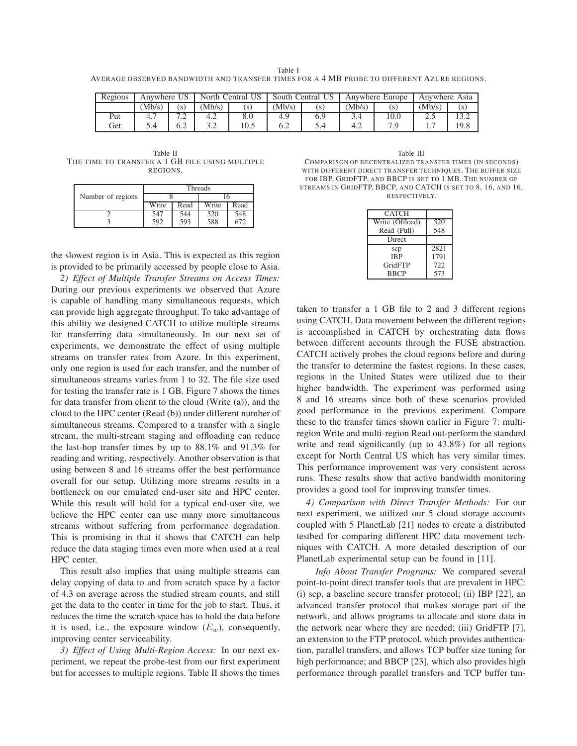Table I AVERAGE OBSERVED BANDWIDTH AND TRANSFER TIMES FOR A 4 MB PROBE TO DIFFERENT AZURE REGIONS.

| Regions | Anvwhere |                          | North Central US |      | South Central US |    | Anvwhere Europe |      | Anvwhere Asia |      |
|---------|----------|--------------------------|------------------|------|------------------|----|-----------------|------|---------------|------|
|         | Mb/s     |                          | Mb/s             | (S)  | Mb/s             | S. | Mb/s            | .S   | Mb/s`         |      |
| Put     | 4.       | $\overline{\phantom{a}}$ | 4.4              |      |                  |    |                 | 10.0 |               |      |
| Get     |          | ∪.∠                      |                  | 10.5 |                  |    |                 |      |               | 19.8 |

Table II THE TIME TO TRANSFER A 1 GB FILE USING MULTIPLE REGIONS.

|                   | <b>Threads</b> |      |       |      |  |  |
|-------------------|----------------|------|-------|------|--|--|
| Number of regions |                |      |       |      |  |  |
|                   | Write          | Read | Write | Read |  |  |
|                   | 547            | 544  | 520   | 548  |  |  |
|                   | 592            | 593  | 588   | 672  |  |  |

the slowest region is in Asia. This is expected as this region is provided to be primarily accessed by people close to Asia.

*2) Effect of Multiple Transfer Streams on Access Times:* During our previous experiments we observed that Azure is capable of handling many simultaneous requests, which can provide high aggregate throughput. To take advantage of this ability we designed CATCH to utilize multiple streams for transferring data simultaneously. In our next set of experiments, we demonstrate the effect of using multiple streams on transfer rates from Azure. In this experiment, only one region is used for each transfer, and the number of simultaneous streams varies from 1 to 32. The file size used for testing the transfer rate is 1 GB. Figure 7 shows the times for data transfer from client to the cloud (Write (a)), and the cloud to the HPC center (Read (b)) under different number of simultaneous streams. Compared to a transfer with a single stream, the multi-stream staging and offloading can reduce the last-hop transfer times by up to 88.1% and 91.3% for reading and writing, respectively. Another observation is that using between 8 and 16 streams offer the best performance overall for our setup. Utilizing more streams results in a bottleneck on our emulated end-user site and HPC center. While this result will hold for a typical end-user site, we believe the HPC center can use many more simultaneous streams without suffering from performance degradation. This is promising in that it shows that CATCH can help reduce the data staging times even more when used at a real HPC center.

This result also implies that using multiple streams can delay copying of data to and from scratch space by a factor of 4.3 on average across the studied stream counts, and still get the data to the center in time for the job to start. Thus, it reduces the time the scratch space has to hold the data before it is used, i.e., the exposure window  $(E_w)$ , consequently, improving center serviceability.

*3) Effect of Using Multi-Region Access:* In our next experiment, we repeat the probe-test from our first experiment but for accesses to multiple regions. Table II shows the times

Table III

COMPARISON OF DECENTRALIZED TRANSFER TIMES (IN SECONDS) WITH DIFFERENT DIRECT TRANSFER TECHNIQUES. THE BUFFER SIZE FOR IBP, GRIDFTP, AND BBCP IS SET TO 1 MB. THE NUMBER OF STREAMS IN GRIDFTP, BBCP, AND CATCH IS SET TO 8, 16, AND 16, RESPECTIVELY.

| <b>CATCH</b>    |      |
|-----------------|------|
| Write (Offload) | 520  |
| Read (Pull)     | 548  |
| Direct          |      |
| scp             | 2821 |
| <b>IBP</b>      | 1791 |
| GridFTP         | 722  |
| <b>BBCP</b>     | 573  |

taken to transfer a 1 GB file to 2 and 3 different regions using CATCH. Data movement between the different regions is accomplished in CATCH by orchestrating data flows between different accounts through the FUSE abstraction. CATCH actively probes the cloud regions before and during the transfer to determine the fastest regions. In these cases, regions in the United States were utilized due to their higher bandwidth. The experiment was performed using 8 and 16 streams since both of these scenarios provided good performance in the previous experiment. Compare these to the transfer times shown earlier in Figure 7: multiregion Write and multi-region Read out-perform the standard write and read significantly (up to 43.8%) for all regions except for North Central US which has very similar times. This performance improvement was very consistent across runs. These results show that active bandwidth monitoring provides a good tool for improving transfer times.

*4) Comparison with Direct Transfer Methods:* For our next experiment, we utilized our 5 cloud storage accounts coupled with 5 PlanetLab [21] nodes to create a distributed testbed for comparing different HPC data movement techniques with CATCH. A more detailed description of our PlanetLab experimental setup can be found in [11].

*Info About Transfer Programs:* We compared several point-to-point direct transfer tools that are prevalent in HPC: (i) scp, a baseline secure transfer protocol; (ii) IBP [22], an advanced transfer protocol that makes storage part of the network, and allows programs to allocate and store data in the network near where they are needed; (iii) GridFTP [7], an extension to the FTP protocol, which provides authentication, parallel transfers, and allows TCP buffer size tuning for high performance; and BBCP [23], which also provides high performance through parallel transfers and TCP buffer tun-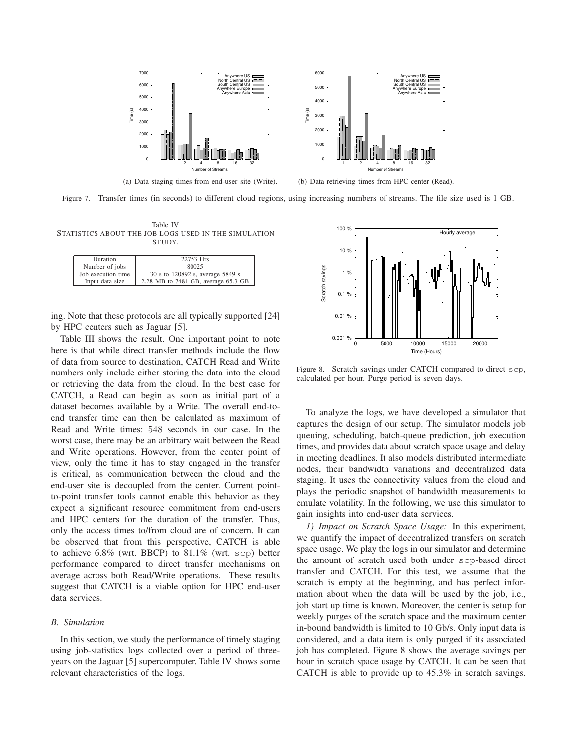

Figure 7. Transfer times (in seconds) to different cloud regions, using increasing numbers of streams. The file size used is 1 GB.

Table IV STATISTICS ABOUT THE JOB LOGS USED IN THE SIMULATION STUDY.

| Duration           | 22753 Hrs                           |  |  |
|--------------------|-------------------------------------|--|--|
| Number of jobs     | 80025                               |  |  |
| Job execution time | 30 s to 120892 s, average 5849 s    |  |  |
| Input data size    | 2.28 MB to 7481 GB, average 65.3 GB |  |  |

ing. Note that these protocols are all typically supported [24] by HPC centers such as Jaguar [5].

Table III shows the result. One important point to note here is that while direct transfer methods include the flow of data from source to destination, CATCH Read and Write numbers only include either storing the data into the cloud or retrieving the data from the cloud. In the best case for CATCH, a Read can begin as soon as initial part of a dataset becomes available by a Write. The overall end-toend transfer time can then be calculated as maximum of Read and Write times: 548 seconds in our case. In the worst case, there may be an arbitrary wait between the Read and Write operations. However, from the center point of view, only the time it has to stay engaged in the transfer is critical, as communication between the cloud and the end-user site is decoupled from the center. Current pointto-point transfer tools cannot enable this behavior as they expect a significant resource commitment from end-users and HPC centers for the duration of the transfer. Thus, only the access times to/from cloud are of concern. It can be observed that from this perspective, CATCH is able to achieve 6.8% (wrt. BBCP) to 81.1% (wrt. scp) better performance compared to direct transfer mechanisms on average across both Read/Write operations. These results suggest that CATCH is a viable option for HPC end-user data services.

# *B. Simulation*

In this section, we study the performance of timely staging using job-statistics logs collected over a period of threeyears on the Jaguar [5] supercomputer. Table IV shows some relevant characteristics of the logs.



Figure 8. Scratch savings under CATCH compared to direct scp, calculated per hour. Purge period is seven days.

To analyze the logs, we have developed a simulator that captures the design of our setup. The simulator models job queuing, scheduling, batch-queue prediction, job execution times, and provides data about scratch space usage and delay in meeting deadlines. It also models distributed intermediate nodes, their bandwidth variations and decentralized data staging. It uses the connectivity values from the cloud and plays the periodic snapshot of bandwidth measurements to emulate volatility. In the following, we use this simulator to gain insights into end-user data services.

*1) Impact on Scratch Space Usage:* In this experiment, we quantify the impact of decentralized transfers on scratch space usage. We play the logs in our simulator and determine the amount of scratch used both under scp-based direct transfer and CATCH. For this test, we assume that the scratch is empty at the beginning, and has perfect information about when the data will be used by the job, i.e., job start up time is known. Moreover, the center is setup for weekly purges of the scratch space and the maximum center in-bound bandwidth is limited to 10 Gb/s. Only input data is considered, and a data item is only purged if its associated job has completed. Figure 8 shows the average savings per hour in scratch space usage by CATCH. It can be seen that CATCH is able to provide up to 45.3% in scratch savings.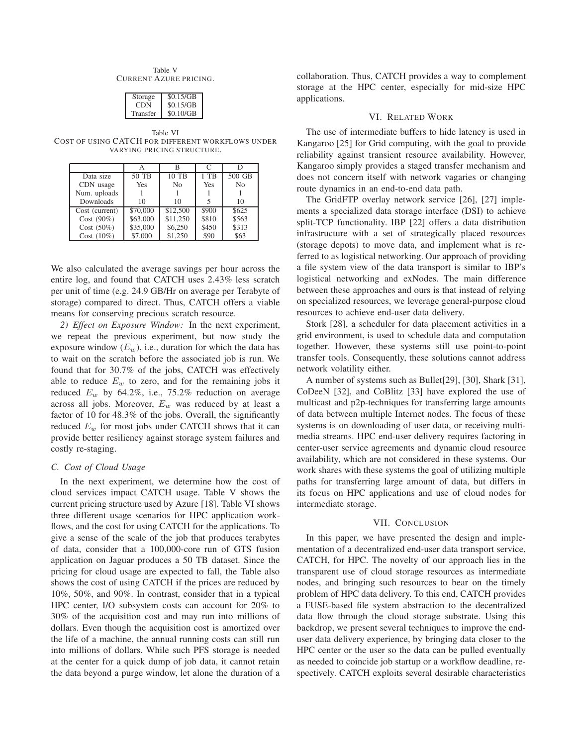Table V CURRENT AZURE PRICING.

| Storage    | \$0.15/GB |
|------------|-----------|
| <b>CDN</b> | \$0.15/GB |
| Transfer   | \$0.10/GB |

Table VI COST OF USING CATCH FOR DIFFERENT WORKFLOWS UNDER VARYING PRICING STRUCTURE.

|                |          | B              |        |                |
|----------------|----------|----------------|--------|----------------|
| Data size      | 50 TB    | 10 TB          | $1$ TB | 500 GB         |
| CDN usage      | Yes      | N <sub>0</sub> | Yes    | N <sub>0</sub> |
| Num. uploads   |          |                |        |                |
| Downloads      | 10       | 10             |        | 10             |
| Cost (current) | \$70,000 | \$12,500       | \$900  | \$625          |
| Cost $(90\%)$  | \$63,000 | \$11,250       | \$810  | \$563          |
| Cost $(50\%)$  | \$35,000 | \$6,250        | \$450  | \$313          |
| Cost $(10\%)$  | \$7,000  | \$1,250        | \$90   | \$63           |

We also calculated the average savings per hour across the entire log, and found that CATCH uses 2.43% less scratch per unit of time (e.g. 24.9 GB/Hr on average per Terabyte of storage) compared to direct. Thus, CATCH offers a viable means for conserving precious scratch resource.

*2) Effect on Exposure Window:* In the next experiment, we repeat the previous experiment, but now study the exposure window  $(E_w)$ , i.e., duration for which the data has to wait on the scratch before the associated job is run. We found that for 30.7% of the jobs, CATCH was effectively able to reduce  $E_w$  to zero, and for the remaining jobs it reduced  $E_w$  by 64.2%, i.e., 75.2% reduction on average across all jobs. Moreover,  $E_w$  was reduced by at least a factor of 10 for 48.3% of the jobs. Overall, the significantly reduced  $E_w$  for most jobs under CATCH shows that it can provide better resiliency against storage system failures and costly re-staging.

# *C. Cost of Cloud Usage*

In the next experiment, we determine how the cost of cloud services impact CATCH usage. Table V shows the current pricing structure used by Azure [18]. Table VI shows three different usage scenarios for HPC application workflows, and the cost for using CATCH for the applications. To give a sense of the scale of the job that produces terabytes of data, consider that a 100,000-core run of GTS fusion application on Jaguar produces a 50 TB dataset. Since the pricing for cloud usage are expected to fall, the Table also shows the cost of using CATCH if the prices are reduced by 10%, 50%, and 90%. In contrast, consider that in a typical HPC center, I/O subsystem costs can account for 20% to 30% of the acquisition cost and may run into millions of dollars. Even though the acquisition cost is amortized over the life of a machine, the annual running costs can still run into millions of dollars. While such PFS storage is needed at the center for a quick dump of job data, it cannot retain the data beyond a purge window, let alone the duration of a collaboration. Thus, CATCH provides a way to complement storage at the HPC center, especially for mid-size HPC applications.

# VI. RELATED WORK

The use of intermediate buffers to hide latency is used in Kangaroo [25] for Grid computing, with the goal to provide reliability against transient resource availability. However, Kangaroo simply provides a staged transfer mechanism and does not concern itself with network vagaries or changing route dynamics in an end-to-end data path.

The GridFTP overlay network service [26], [27] implements a specialized data storage interface (DSI) to achieve split-TCP functionality. IBP [22] offers a data distribution infrastructure with a set of strategically placed resources (storage depots) to move data, and implement what is referred to as logistical networking. Our approach of providing a file system view of the data transport is similar to IBP's logistical networking and exNodes. The main difference between these approaches and ours is that instead of relying on specialized resources, we leverage general-purpose cloud resources to achieve end-user data delivery.

Stork [28], a scheduler for data placement activities in a grid environment, is used to schedule data and computation together. However, these systems still use point-to-point transfer tools. Consequently, these solutions cannot address network volatility either.

A number of systems such as Bullet[29], [30], Shark [31], CoDeeN [32], and CoBlitz [33] have explored the use of multicast and p2p-techniques for transferring large amounts of data between multiple Internet nodes. The focus of these systems is on downloading of user data, or receiving multimedia streams. HPC end-user delivery requires factoring in center-user service agreements and dynamic cloud resource availability, which are not considered in these systems. Our work shares with these systems the goal of utilizing multiple paths for transferring large amount of data, but differs in its focus on HPC applications and use of cloud nodes for intermediate storage.

### VII. CONCLUSION

In this paper, we have presented the design and implementation of a decentralized end-user data transport service, CATCH, for HPC. The novelty of our approach lies in the transparent use of cloud storage resources as intermediate nodes, and bringing such resources to bear on the timely problem of HPC data delivery. To this end, CATCH provides a FUSE-based file system abstraction to the decentralized data flow through the cloud storage substrate. Using this backdrop, we present several techniques to improve the enduser data delivery experience, by bringing data closer to the HPC center or the user so the data can be pulled eventually as needed to coincide job startup or a workflow deadline, respectively. CATCH exploits several desirable characteristics